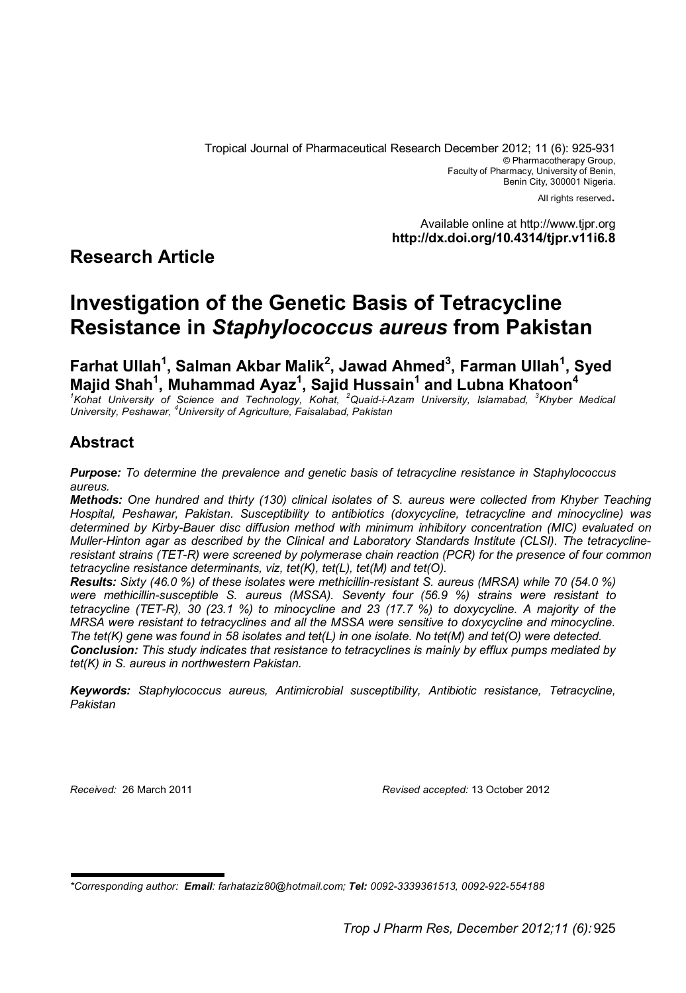Tropical Journal of Pharmaceutical Research December 2012; 11 (6): 925-931 © Pharmacotherapy Group, Faculty of Pharmacy, University of Benin, Benin City, 300001 Nigeria.

All rights reserved.

Available online at http://www.tjpr.org **http://dx.doi.org/10.4314/tjpr.v11i6.8**

# **Research Article**

# **Investigation of the Genetic Basis of Tetracycline Resistance in** *Staphylococcus aureus* **from Pakistan**

**Farhat Ullah<sup>1</sup> , Salman Akbar Malik<sup>2</sup> , Jawad Ahmed<sup>3</sup> , Farman Ullah<sup>1</sup> , Syed Majid Shah<sup>1</sup> , Muhammad Ayaz<sup>1</sup> , Sajid Hussain<sup>1</sup> and Lubna Khatoon<sup>4</sup>**

<sup>1</sup> Kohat University of Science and Technology, Kohat, <sup>2</sup> Quaid-i-Azam University, Islamabad, <sup>3</sup> Khyber Medical *University, Peshawar, <sup>4</sup>University of Agriculture, Faisalabad, Pakistan* 

# **Abstract**

*Purpose: To determine the prevalence and genetic basis of tetracycline resistance in Staphylococcus aureus.*

*Methods: One hundred and thirty (130) clinical isolates of S. aureus were collected from Khyber Teaching Hospital, Peshawar, Pakistan. Susceptibility to antibiotics (doxycycline, tetracycline and minocycline) was determined by Kirby-Bauer disc diffusion method with minimum inhibitory concentration (MIC) evaluated on Muller-Hinton agar as described by the Clinical and Laboratory Standards Institute (CLSI). The tetracyclineresistant strains (TET-R) were screened by polymerase chain reaction (PCR) for the presence of four common tetracycline resistance determinants, viz, tet(K), tet(L), tet(M) and tet(O).*

*Results: Sixty (46.0 %) of these isolates were methicillin-resistant S. aureus (MRSA) while 70 (54.0 %) were methicillin-susceptible S. aureus (MSSA). Seventy four (56.9 %) strains were resistant to tetracycline (TET-R), 30 (23.1 %) to minocycline and 23 (17.7 %) to doxycycline. A majority of the MRSA were resistant to tetracyclines and all the MSSA were sensitive to doxycycline and minocycline. The tet(K) gene was found in 58 isolates and tet(L) in one isolate. No tet(M) and tet(O) were detected. Conclusion: This study indicates that resistance to tetracyclines is mainly by efflux pumps mediated by tet(K) in S. aureus in northwestern Pakistan.*

*Keywords: Staphylococcus aureus, Antimicrobial susceptibility, Antibiotic resistance, Tetracycline, Pakistan*

*Received:* 26 March 2011 *Revised accepted:* 13 October 2012

*<sup>\*</sup>Corresponding author: Email: farhataziz80@hotmail.com; Tel: 0092-3339361513, 0092-922-554188*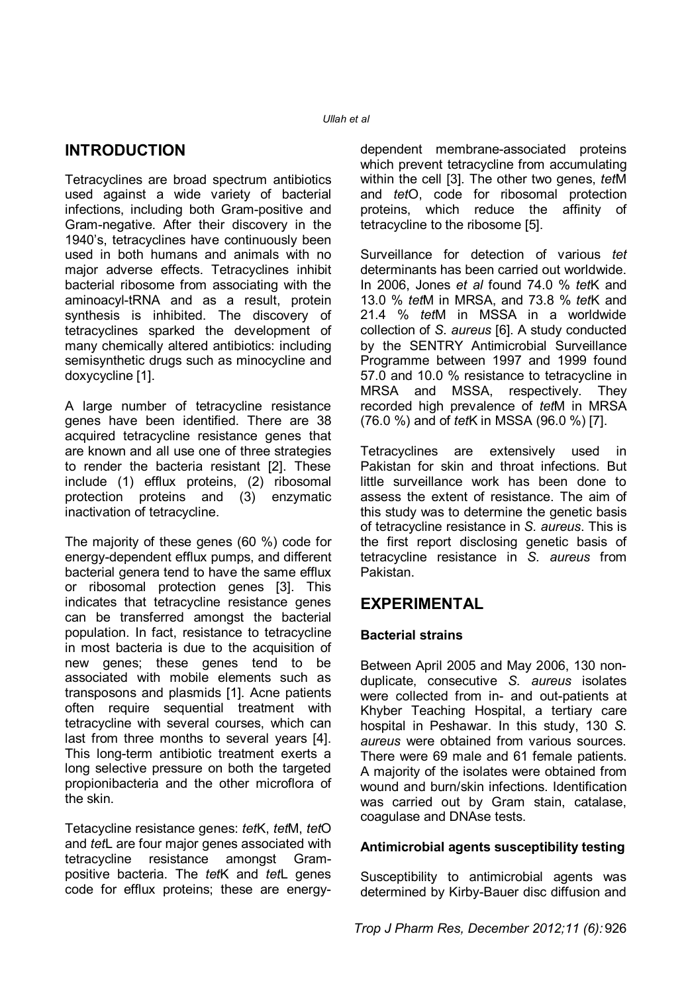#### *Ullah et al*

# **INTRODUCTION**

Tetracyclines are broad spectrum antibiotics used against a wide variety of bacterial infections, including both Gram-positive and Gram-negative. After their discovery in the 1940's, tetracyclines have continuously been used in both humans and animals with no major adverse effects. Tetracyclines inhibit bacterial ribosome from associating with the aminoacyl-tRNA and as a result, protein synthesis is inhibited. The discovery of tetracyclines sparked the development of many chemically altered antibiotics: including semisynthetic drugs such as minocycline and doxycycline [1].

A large number of tetracycline resistance genes have been identified. There are 38 acquired tetracycline resistance genes that are known and all use one of three strategies to render the bacteria resistant [2]. These include (1) efflux proteins, (2) ribosomal protection proteins and (3) enzymatic inactivation of tetracycline.

The majority of these genes (60 %) code for energy-dependent efflux pumps, and different bacterial genera tend to have the same efflux or ribosomal protection genes [3]. This indicates that tetracycline resistance genes can be transferred amongst the bacterial population. In fact, resistance to tetracycline in most bacteria is due to the acquisition of new genes; these genes tend to be associated with mobile elements such as transposons and plasmids [1]. Acne patients often require sequential treatment with tetracycline with several courses, which can last from three months to several years [4]. This long-term antibiotic treatment exerts a long selective pressure on both the targeted propionibacteria and the other microflora of the skin.

Tetacycline resistance genes: *tet*K, *tet*M, *tet*O and *tet*L are four major genes associated with tetracycline resistance amongst Grampositive bacteria. The *tet*K and *tet*L genes code for efflux proteins; these are energydependent membrane-associated proteins which prevent tetracycline from accumulating within the cell [3]. The other two genes, *tet*M and *tet*O, code for ribosomal protection proteins, which reduce the affinity of tetracycline to the ribosome [5].

Surveillance for detection of various *tet* determinants has been carried out worldwide. In 2006, Jones *et al* found 74.0 % *tet*K and 13.0 % *tet*M in MRSA, and 73.8 % *tet*K and 21.4 % *tet*M in MSSA in a worldwide collection of *S. aureus* [6]. A study conducted by the SENTRY Antimicrobial Surveillance Programme between 1997 and 1999 found 57.0 and 10.0 % resistance to tetracycline in MRSA and MSSA, respectively. They recorded high prevalence of *tet*M in MRSA (76.0 %) and of *tet*K in MSSA (96.0 %) [7].

Tetracyclines are extensively used in Pakistan for skin and throat infections. But little surveillance work has been done to assess the extent of resistance. The aim of this study was to determine the genetic basis of tetracycline resistance in *S. aureus*. This is the first report disclosing genetic basis of tetracycline resistance in *S. aureus* from Pakistan.

## **EXPERIMENTAL**

## **Bacterial strains**

Between April 2005 and May 2006, 130 nonduplicate, consecutive *S. aureus* isolates were collected from in- and out-patients at Khyber Teaching Hospital, a tertiary care hospital in Peshawar. In this study, 130 *S. aureus* were obtained from various sources. There were 69 male and 61 female patients. A majority of the isolates were obtained from wound and burn/skin infections. Identification was carried out by Gram stain, catalase, coagulase and DNAse tests.

## **Antimicrobial agents susceptibility testing**

Susceptibility to antimicrobial agents was determined by Kirby-Bauer disc diffusion and

*Trop J Pharm Res, December 2012;11 (6):* 926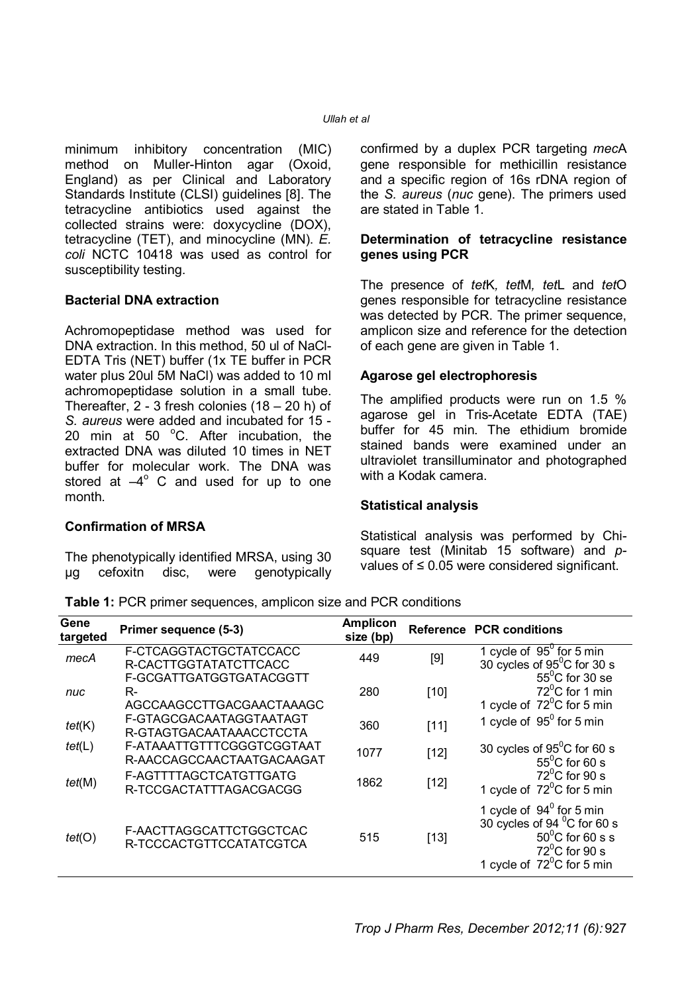minimum inhibitory concentration (MIC) method on Muller-Hinton agar (Oxoid, England) as per Clinical and Laboratory Standards Institute (CLSI) guidelines [8]. The tetracycline antibiotics used against the collected strains were: doxycycline (DOX), tetracycline (TET), and minocycline (MN). *E. coli* NCTC 10418 was used as control for susceptibility testing.

#### **Bacterial DNA extraction**

Achromopeptidase method was used for DNA extraction. In this method, 50 ul of NaCl-EDTA Tris (NET) buffer (1x TE buffer in PCR water plus 20ul 5M NaCl) was added to 10 ml achromopeptidase solution in a small tube. Thereafter, 2 - 3 fresh colonies (18 – 20 h) of *S. aureus* were added and incubated for 15 - 20 min at 50 $\degree$ C. After incubation, the extracted DNA was diluted 10 times in NET buffer for molecular work. The DNA was stored at  $-4^{\circ}$  C and used for up to one month.

#### **Confirmation of MRSA**

The phenotypically identified MRSA, using 30 µg cefoxitn disc, were genotypically

confirmed by a duplex PCR targeting *mec*A gene responsible for methicillin resistance and a specific region of 16s rDNA region of the *S. aureus* (*nuc* gene). The primers used are stated in Table 1.

#### **Determination of tetracycline resistance genes using PCR**

The presence of *tet*K*, tet*M*, tet*L and *tet*O genes responsible for tetracycline resistance was detected by PCR. The primer sequence, amplicon size and reference for the detection of each gene are given in Table 1.

#### **Agarose gel electrophoresis**

The amplified products were run on 1.5 % agarose gel in Tris-Acetate EDTA (TAE) buffer for 45 min. The ethidium bromide stained bands were examined under an ultraviolet transilluminator and photographed with a Kodak camera.

#### **Statistical analysis**

Statistical analysis was performed by Chisquare test (Minitab 15 software) and *p*values of ≤ 0.05 were considered significant.

| Gene<br>targeted | Primer sequence (5-3)                                     | <b>Amplicon</b><br>size (bp) |        | <b>Reference PCR conditions</b>                                                                                                                     |
|------------------|-----------------------------------------------------------|------------------------------|--------|-----------------------------------------------------------------------------------------------------------------------------------------------------|
| mecA             | F-CTCAGGTACTGCTATCCACC<br>R-CACTTGGTATATCTTCACC           | 449                          | [9]    | 1 cycle of $95^{\circ}$ for 5 min<br>30 cycles of 95 <sup>°</sup> C for 30 s                                                                        |
| nuc              | F-GCGATTGATGGTGATACGGTT<br>R-<br>AGCCAAGCCTTGACGAACTAAAGC | 280                          | $[10]$ | $55^{\circ}$ C for 30 se<br>$72^{\circ}$ C for 1 min<br>1 cycle of $72^{\circ}$ C for 5 min                                                         |
| tet(K)           | F-GTAGCGACAATAGGTAATAGT<br>R-GTAGTGACAATAAACCTCCTA        | 360                          | $[11]$ | 1 cycle of $95^{\circ}$ for 5 min                                                                                                                   |
| tet(L)           | F-ATAAATTGTTTCGGGTCGGTAAT<br>R-AACCAGCCAACTAATGACAAGAT    | 1077                         | $[12]$ | 30 cycles of $95^{\circ}$ C for 60 s<br>$55^{\circ}$ C for 60 s                                                                                     |
| tet(M)           | F-AGTTTTAGCTCATGTTGATG<br>R-TCCGACTATTTAGACGACGG          | 1862                         | $[12]$ | $72^0$ C for 90 s<br>1 cycle of $72^{\circ}$ C for 5 min                                                                                            |
| tet(O)           | F-AACTTAGGCATTCTGGCTCAC<br>R-TCCCACTGTTCCATATCGTCA        | 515                          | $[13]$ | 1 cycle of $94^{\circ}$ for 5 min<br>30 cycles of 94 °C for 60 s<br>$50^0$ C for 60 s s<br>$72^0$ C for 90 s<br>1 cycle of $72^{\circ}$ C for 5 min |

**Table 1:** PCR primer sequences, amplicon size and PCR conditions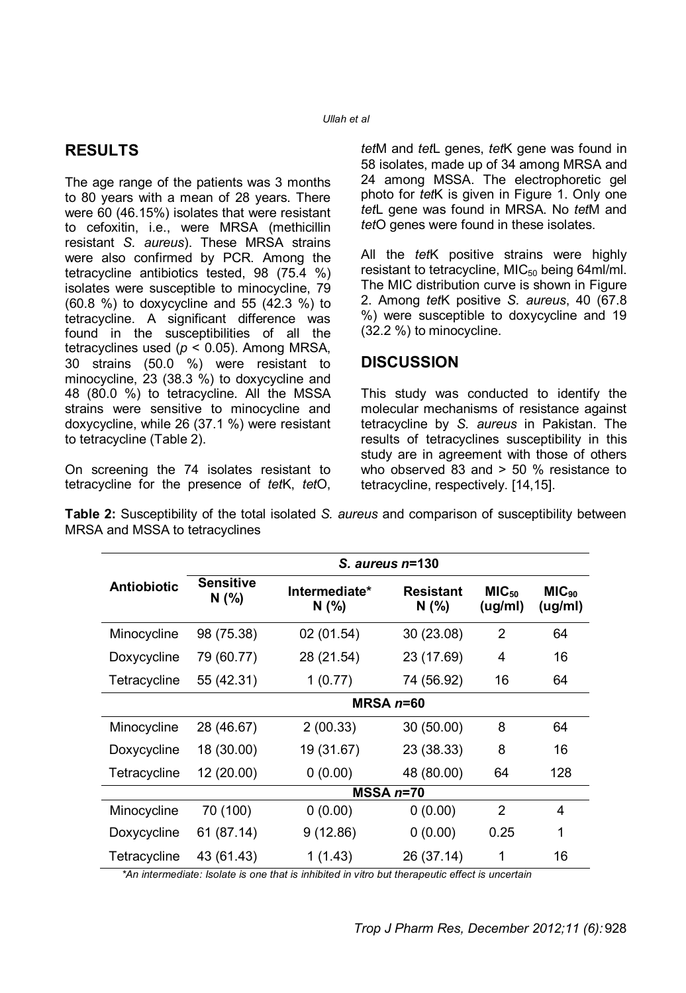# **RESULTS**

The age range of the patients was 3 months to 80 years with a mean of 28 years. There were 60 (46.15%) isolates that were resistant to cefoxitin, i.e., were MRSA (methicillin resistant *S. aureus*). These MRSA strains were also confirmed by PCR. Among the tetracycline antibiotics tested, 98 (75.4 %) isolates were susceptible to minocycline, 79 (60.8 %) to doxycycline and 55 (42.3 %) to tetracycline. A significant difference was found in the susceptibilities of all the tetracyclines used (*p* < 0.05). Among MRSA, 30 strains (50.0 %) were resistant to minocycline, 23 (38.3 %) to doxycycline and 48 (80.0 %) to tetracycline. All the MSSA strains were sensitive to minocycline and doxycycline, while 26 (37.1 %) were resistant to tetracycline (Table 2).

On screening the 74 isolates resistant to tetracycline for the presence of *tet*K, *tet*O, *tet*M and *tet*L genes, *tet*K gene was found in 58 isolates, made up of 34 among MRSA and 24 among MSSA. The electrophoretic gel photo for *tet*K is given in Figure 1. Only one *tet*L gene was found in MRSA. No *tet*M and *tet*O genes were found in these isolates.

All the *tet*K positive strains were highly resistant to tetracycline,  $MIC<sub>50</sub>$  being 64ml/ml. The MIC distribution curve is shown in Figure 2. Among *tet*K positive *S. aureus*, 40 (67.8 %) were susceptible to doxycycline and 19 (32.2 %) to minocycline.

## **DISCUSSION**

This study was conducted to identify the molecular mechanisms of resistance against tetracycline by *S. aureus* in Pakistan. The results of tetracyclines susceptibility in this study are in agreement with those of others who observed 83 and > 50 % resistance to tetracycline, respectively. [14,15].

**Table 2:** Susceptibility of the total isolated *S. aureus* and comparison of susceptibility between MRSA and MSSA to tetracyclines

|                    | S. aureus n=130  |                       |                         |                              |                              |  |  |
|--------------------|------------------|-----------------------|-------------------------|------------------------------|------------------------------|--|--|
| <b>Antiobiotic</b> | Sensitive<br>N(% | Intermediate*<br>N(%) | <b>Resistant</b><br>N(% | MIC <sub>50</sub><br>(ug/ml) | MIC <sub>90</sub><br>(ug/ml) |  |  |
| Minocycline        | 98 (75.38)       | 02 (01.54)            | 30 (23.08)              | $\overline{2}$               | 64                           |  |  |
| Doxycycline        | 79 (60.77)       | 28 (21.54)            | 23 (17.69)              | 4                            | 16                           |  |  |
| Tetracycline       | 55 (42.31)       | 1(0.77)               | 74 (56.92)              | 16                           | 64                           |  |  |
|                    | MRSA $n=60$      |                       |                         |                              |                              |  |  |
| Minocycline        | 28 (46.67)       | 2(00.33)              | 30 (50.00)              | 8                            | 64                           |  |  |
| Doxycycline        | 18 (30.00)       | 19 (31.67)            | 23 (38.33)              | 8                            | 16                           |  |  |
| Tetracycline       | 12 (20.00)       | 0(0.00)               | 48 (80.00)              | 64                           | 128                          |  |  |
|                    | $MSSA$ $n=70$    |                       |                         |                              |                              |  |  |
| Minocycline        | 70 (100)         | 0(0.00)               | 0(0.00)                 | 2                            | 4                            |  |  |
| Doxycycline        | 61 (87.14)       | 9(12.86)              | 0(0.00)                 | 0.25                         | 1                            |  |  |
| Tetracycline       | 43 (61.43)       | 1(1.43)               | 26 (37.14)              | 1                            | 16                           |  |  |

*\*An intermediate: Isolate is one that is inhibited in vitro but therapeutic effect is uncertain*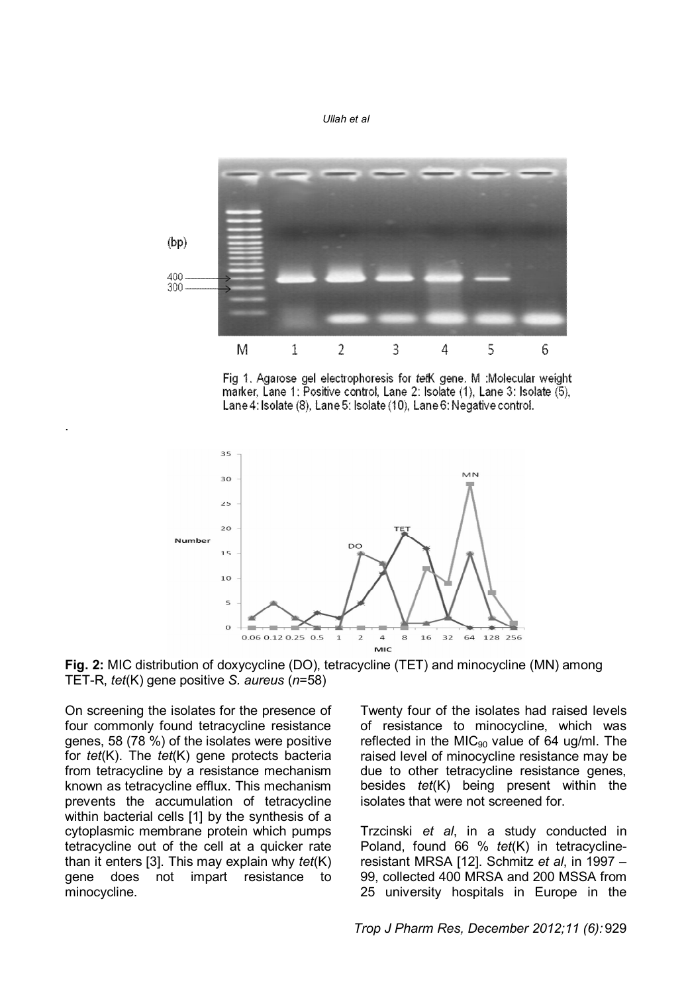



Fig 1. Agarose gel electrophoresis for tetK gene. M : Molecular weight marker, Lane 1: Positive control, Lane 2: Isolate (1), Lane 3: Isolate (5), Lane 4: Isolate (8), Lane 5: Isolate (10), Lane 6: Negative control.



**Fig. 2:** MIC distribution of doxycycline (DO), tetracycline (TET) and minocycline (MN) among TET-R, *tet*(K) gene positive *S. aureus* (*n*=58)

On screening the isolates for the presence of four commonly found tetracycline resistance genes, 58 (78 %) of the isolates were positive for *tet*(K). The *tet*(K) gene protects bacteria from tetracycline by a resistance mechanism known as tetracycline efflux. This mechanism prevents the accumulation of tetracycline within bacterial cells [1] by the synthesis of a cytoplasmic membrane protein which pumps tetracycline out of the cell at a quicker rate than it enters [3]. This may explain why *tet*(K) gene does not impart resistance to minocycline.

.

Twenty four of the isolates had raised levels of resistance to minocycline, which was reflected in the MIC<sub>90</sub> value of 64 ug/ml. The raised level of minocycline resistance may be due to other tetracycline resistance genes, besides *tet*(K) being present within the isolates that were not screened for.

Trzcinski *et al*, in a study conducted in Poland, found 66 % *tet*(K) in tetracyclineresistant MRSA [12]. Schmitz *et al*, in 1997 – 99, collected 400 MRSA and 200 MSSA from 25 university hospitals in Europe in the

*Trop J Pharm Res, December 2012;11 (6):* 929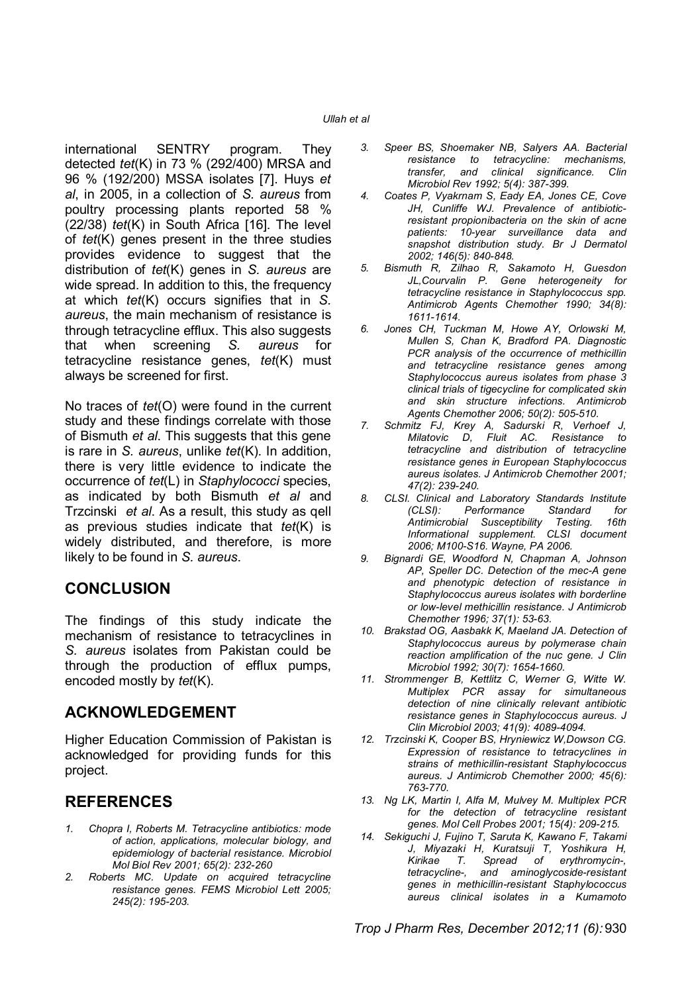international SENTRY program. They detected *tet*(K) in 73 % (292/400) MRSA and 96 % (192/200) MSSA isolates [7]. Huys *et al*, in 2005, in a collection of *S. aureus* from poultry processing plants reported 58 % (22/38) *tet*(K) in South Africa [16]. The level of *tet*(K) genes present in the three studies provides evidence to suggest that the distribution of *tet*(K) genes in *S. aureus* are wide spread. In addition to this, the frequency at which *tet*(K) occurs signifies that in *S. aureus*, the main mechanism of resistance is through tetracycline efflux. This also suggests that when screening *S. aureus* for tetracycline resistance genes, *tet*(K) must always be screened for first.

No traces of *tet*(O) were found in the current study and these findings correlate with those of Bismuth *et al*. This suggests that this gene is rare in *S. aureus*, unlike *tet*(K). In addition, there is very little evidence to indicate the occurrence of *tet*(L) in *Staphylococci* species, as indicated by both Bismuth *et al* and Trzcinski *et al*. As a result, this study as qell as previous studies indicate that *tet*(K) is widely distributed, and therefore, is more likely to be found in *S. aureus*.

## **CONCLUSION**

The findings of this study indicate the mechanism of resistance to tetracyclines in *S. aureus* isolates from Pakistan could be through the production of efflux pumps, encoded mostly by *tet*(K).

## **ACKNOWLEDGEMENT**

Higher Education Commission of Pakistan is acknowledged for providing funds for this project.

# **REFERENCES**

- *1. Chopra I, Roberts M. Tetracycline antibiotics: mode of action, applications, molecular biology, and epidemiology of bacterial resistance. Microbiol Mol Biol Rev 2001; 65(2): 232-260*
- *2. Roberts MC. Update on acquired tetracycline resistance genes. FEMS Microbiol Lett 2005; 245(2): 195-203.*
- *3. Speer BS, Shoemaker NB, Salyers AA. Bacterial resistance to tetracycline: mechanisms, transfer, and clinical significance. Clin Microbiol Rev 1992; 5(4): 387-399.*
- *4. Coates P, Vyakrnam S, Eady EA, Jones CE, Cove JH, Cunliffe WJ. Prevalence of antibioticresistant propionibacteria on the skin of acne patients: 10-year surveillance data and snapshot distribution study. Br J Dermatol 2002; 146(5): 840-848.*
- *5. Bismuth R, Zilhao R, Sakamoto H, Guesdon JL,Courvalin P. Gene heterogeneity for tetracycline resistance in Staphylococcus spp. Antimicrob Agents Chemother 1990; 34(8): 1611-1614.*
- *6. Jones CH, Tuckman M, Howe AY, Orlowski M, Mullen S, Chan K, Bradford PA. Diagnostic PCR analysis of the occurrence of methicillin and tetracycline resistance genes among Staphylococcus aureus isolates from phase 3 clinical trials of tigecycline for complicated skin and skin structure infections. Antimicrob Agents Chemother 2006; 50(2): 505-510.*
- *7. Schmitz FJ, Krey A, Sadurski R, Verhoef J, Milatovic D, Fluit AC. Resistance to tetracycline and distribution of tetracycline resistance genes in European Staphylococcus aureus isolates. J Antimicrob Chemother 2001; 47(2): 239-240.*
- *8. CLSI. Clinical and Laboratory Standards Institute*   $P$ erformance Standard for *Antimicrobial Susceptibility Testing. 16th Informational supplement. CLSI document 2006; M100-S16. Wayne, PA 2006.*
- *9. Bignardi GE, Woodford N, Chapman A, Johnson AP, Speller DC. Detection of the mec-A gene and phenotypic detection of resistance in Staphylococcus aureus isolates with borderline or low-level methicillin resistance. J Antimicrob Chemother 1996; 37(1): 53-63.*
- *10. Brakstad OG, Aasbakk K, Maeland JA. Detection of Staphylococcus aureus by polymerase chain reaction amplification of the nuc gene. J Clin Microbiol 1992; 30(7): 1654-1660.*
- *11. Strommenger B, Kettlitz C, Werner G, Witte W. Multiplex PCR assay for simultaneous detection of nine clinically relevant antibiotic resistance genes in Staphylococcus aureus. J Clin Microbiol 2003; 41(9): 4089-4094.*
- *12. Trzcinski K, Cooper BS, Hryniewicz W,Dowson CG. Expression of resistance to tetracyclines in strains of methicillin-resistant Staphylococcus aureus. J Antimicrob Chemother 2000; 45(6): 763-770.*
- *13. Ng LK, Martin I, Alfa M, Mulvey M. Multiplex PCR for the detection of tetracycline resistant genes. Mol Cell Probes 2001; 15(4): 209-215.*
- *14. Sekiguchi J, Fujino T, Saruta K, Kawano F, Takami J, Miyazaki H, Kuratsuji T, Yoshikura H, Kirikae T. Spread of erythromycin-, tetracycline-, and aminoglycoside-resistant genes in methicillin-resistant Staphylococcus aureus clinical isolates in a Kumamoto*